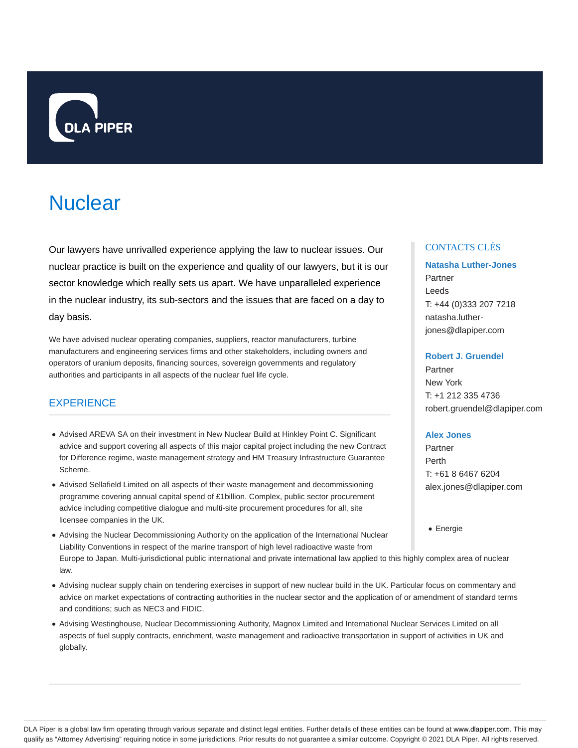

# **Nuclear**

Our lawyers have unrivalled experience applying the law to nuclear issues. Our nuclear practice is built on the experience and quality of our lawyers, but it is our sector knowledge which really sets us apart. We have unparalleled experience in the nuclear industry, its sub-sectors and the issues that are faced on a day to day basis.

We have advised nuclear operating companies, suppliers, reactor manufacturers, turbine manufacturers and engineering services firms and other stakeholders, including owners and operators of uranium deposits, financing sources, sovereign governments and regulatory authorities and participants in all aspects of the nuclear fuel life cycle.

## **EXPERIENCE**

- Advised AREVA SA on their investment in New Nuclear Build at Hinkley Point C. Significant advice and support covering all aspects of this major capital project including the new Contract for Difference regime, waste management strategy and HM Treasury Infrastructure Guarantee Scheme.
- Advised Sellafield Limited on all aspects of their waste management and decommissioning programme covering annual capital spend of £1billion. Complex, public sector procurement advice including competitive dialogue and multi-site procurement procedures for all, site licensee companies in the UK.
- Advising the Nuclear Decommissioning Authority on the application of the International Nuclear Liability Conventions in respect of the marine transport of high level radioactive waste from Europe to Japan. Multi-jurisdictional public international and private international law applied to this highly complex area of nuclear law.
- Advising nuclear supply chain on tendering exercises in support of new nuclear build in the UK. Particular focus on commentary and advice on market expectations of contracting authorities in the nuclear sector and the application of or amendment of standard terms and conditions; such as NEC3 and FIDIC.
- Advising Westinghouse, Nuclear Decommissioning Authority, Magnox Limited and International Nuclear Services Limited on all aspects of fuel supply contracts, enrichment, waste management and radioactive transportation in support of activities in UK and globally.

#### CONTACTS CLÉS

### **Natasha Luther-Jones** Partner Leeds T: +44 (0)333 207 7218 natasha.lutherjones@dlapiper.com

#### **Robert J. Gruendel**

Partner New York T: +1 212 335 4736 robert.gruendel@dlapiper.com

#### **Alex Jones**

Partner Perth T: +61 8 6467 6204 alex.jones@dlapiper.com

Energie